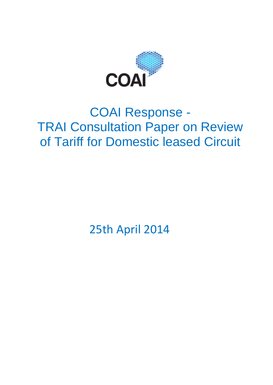

# COAI Response - TRAI Consultation Paper on Review of Tariff for Domestic leased Circuit

25th April 2014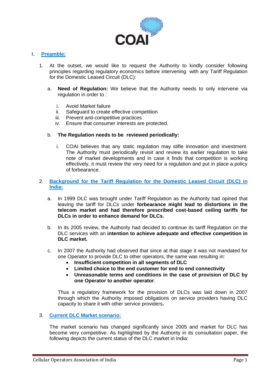

# **I. Preamble:**

- 1. At the outset, we would like to request the Authority to kindly consider following principles regarding regulatory economics before intervening with any Tariff Regulation for the Domestic Leased Circuit (DLC):
	- a. **Need of Regulation:** We believe that the Authority needs to only intervene via regulation in order to :
		- i. Avoid Market failure
		- ii. Safeguard to create effective competition<br>iii. Prevent anti-competitive practices
		- Prevent anti-competitive practices
		- iv. Ensure that consumer interests are protected.

# b. **The Regulation needs to be reviewed periodically:**

i. COAI believes that any static regulation may stifle innovation and investment. The Authority must periodically revisit and review its earlier regulation to take note of market developments and in case it finds that competition is working effectively, it must review the very need for a regulation and put in place a policy of forbearance.

#### 2. **Background for the Tariff Regulation for the Domestic Leased Circuit (DLC) in India:**

- a. In 1999 DLC was brought under Tariff Regulation as the Authority had opined that leaving the tariff for DLCs under **forbearance might lead to distortions in the telecom market and had therefore prescribed cost-based ceiling tariffs for DLCs in order to enhance demand for DLCs.**
- b. In its 2005 review, the Authority had decided to continue its tariff Regulation on the DLC services with an **intention to achieve adequate and effective competition in DLC market.**
- c. In 2007 the Authority had observed that since at that stage it was not mandated for one Operator to provide DLC to other operators, the same was resulting in:
	- **Insufficient competition in all segments of DLC**
	- **Limited choice to the end customer for end to end connectivity**
	- **Unreasonable terms and conditions in the case of provision of DLC by one Operator to another operator**.

Thus a regulatory framework for the provision of DLCs was laid down in 2007 through which the Authority imposed obligations on service providers having DLC capacity to share it with other service providers**.** 

### 3. **Current DLC Market scenario:**

The market scenario has changed significantly since 2005 and market for DLC has become very competitive. As highlighted by the Authority in its consultation paper, the following depicts the current status of the DLC market in India: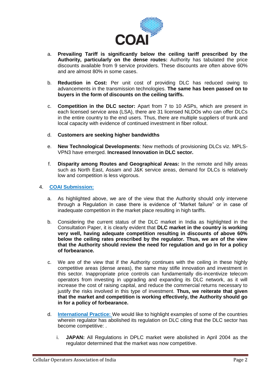

- a. **Prevailing Tariff is significantly below the ceiling tariff prescribed by the Authority, particularly on the dense routes:** Authority has tabulated the price discounts available from 9 service providers. These discounts are often above 60% and are almost 80% in some cases.
- b. **Reduction in Cost:** Per unit cost of providing DLC has reduced owing to advancements in the transmission technologies. **The same has been passed on to buyers in the form of discounts on the ceiling tariffs.**
- c. **Competition in the DLC sector:** Apart from 7 to 10 ASPs, which are present in each licensed service area (LSA), there are 31 licensed NLDOs who can offer DLCs in the entire country to the end users. Thus, there are multiple suppliers of trunk and local capacity with evidence of continued investment in fiber rollout.
- d. **Customers are seeking higher bandwidths**
- e. **New Technological Developments**: New methods of provisioning DLCs viz. MPLS-VPN3 have emerged. **Increased Innovation in DLC sector.**
- f. **Disparity among Routes and Geographical Areas:** In the remote and hilly areas such as North East, Assam and J&K service areas, demand for DLCs is relatively low and competition is less vigorous.

# 4. **COAI Submission:**

- a. As highlighted above, we are of the view that the Authority should only intervene through a Regulation in case there is evidence of "Market failure" or in case of inadequate competition in the market place resulting in high tariffs.
- b. Considering the current status of the DLC market in India as highlighted in the Consultation Paper, it is clearly evident that **DLC market in the country is working very well, having adequate competition resulting in discounts of above 60% below the ceiling rates prescribed by the regulator. Thus, we are of the view that the Authority should review the need for regulation and go in for a policy of forbearance.**
- c. We are of the view that if the Authority continues with the ceiling in these highly competitive areas (dense areas), the same may stifle innovation and investment in this sector. Inappropriate price controls can fundamentally dis-incentivize telecom operators from investing in upgrading and expanding its DLC network, as it will increase the cost of raising capital, and reduce the commercial returns necessary to justify the risks involved in this type of investment. **Thus, we reiterate that given that the market and competition is working effectively, the Authority should go in for a policy of forbearance.**
- d. **International Practice:** We would like to highlight examples of some of the countries wherein regulator has abolished its regulation on DLC citing that the DLC sector has become competitive: .
	- i. **JAPAN:** All Regulations in DPLC market were abolished in April 2004 as the regulator determined that the market was now competitive.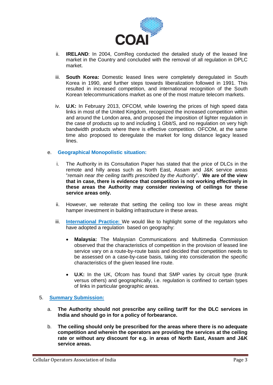

- ii. **IRELAND**: In 2004, ComReg conducted the detailed study of the leased line market in the Country and concluded with the removal of all regulation in DPLC market.
- iii. **South Korea:** Domestic leased lines were completely deregulated in South Korea in 1990, and further steps towards liberalization followed in 1991. This resulted in increased competition, and international recognition of the South Korean telecommunications market as one of the most mature telecom markets.
- iv. **U.K:** In February 2013, OFCOM, while lowering the prices of high speed data links in most of the United Kingdom, recognized the increased competition within and around the London area, and proposed the imposition of lighter regulation in the case of products up to and including 1 Gbit/S, and no regulation on very high bandwidth products where there is effective competition. OFCOM, at the same time also proposed to deregulate the market for long distance legacy leased lines.

# e. **Geographical Monopolistic situation:**

- i. The Authority in its Consultation Paper has stated that the price of DLCs in the remote and hilly areas such as North East, Assam and J&K service areas "*remain near the ceiling tariffs prescribed by the Authority*". **We are of the view that in case, there is evidence that competition is not working effectively in these areas the Authority may consider reviewing of ceilings for these service areas only.**
- ii. However, we reiterate that setting the ceiling too low in these areas might hamper investment in building infrastructure in these areas.
- iii. **International Practice:** We would like to highlight some of the regulators who have adopted a regulation based on geography:
	- **Malaysia:** The Malaysian Communications and Multimedia Commission observed that the characteristics of competition in the provision of leased line service vary on a route-by-route basis and decided that competition needs to be assessed on a case-by-case basis, taking into consideration the specific characteristics of the given leased line route.
	- **U.K:** In the UK, Ofcom has found that SMP varies by circuit type (trunk versus others) and geographically, i.e. regulation is confined to certain types of links in particular geographic areas.

# 5. **Summary Submission:**

- a. **The Authority should not prescribe any ceiling tariff for the DLC services in India and should go in for a policy of forbearance.**
- b. **The ceiling should only be prescribed for the areas where there is no adequate competition and wherein the operators are providing the services at the ceiling rate or without any discount for e.g. in areas of North East, Assam and J&K service areas.**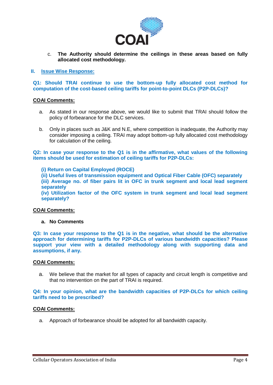

c. **The Authority should determine the ceilings in these areas based on fully allocated cost methodology.**

#### **II. Issue Wise Response:**

**Q1: Should TRAI continue to use the bottom-up fully allocated cost method for computation of the cost-based ceiling tariffs for point-to-point DLCs (P2P-DLCs)?**

# **COAI Comments:**

- a. As stated in our response above, we would like to submit that TRAI should follow the policy of forbearance for the DLC services.
- b. Only in places such as J&K and N.E, where competition is inadequate, the Authority may consider imposing a ceiling. TRAI may adopt bottom-up fully allocated cost methodology for calculation of the ceiling.

**Q2: In case your response to the Q1 is in the affirmative, what values of the following items should be used for estimation of ceiling tariffs for P2P-DLCs:** 

**(i) Return on Capital Employed (ROCE)** 

**(ii) Useful lives of transmission equipment and Optical Fiber Cable (OFC) separately (iii) Average no. of fiber pairs lit in OFC in trunk segment and local lead segment separately** 

**(iv) Utilization factor of the OFC system in trunk segment and local lead segment separately?** 

#### **COAI Comments:**

#### **a. No Comments**

**Q3: In case your response to the Q1 is in the negative, what should be the alternative approach for determining tariffs for P2P-DLCs of various bandwidth capacities? Please support your view with a detailed methodology along with supporting data and assumptions, if any.**

#### **COAI Comments:**

a. We believe that the market for all types of capacity and circuit length is competitive and that no intervention on the part of TRAI is required.

#### **Q4: In your opinion, what are the bandwidth capacities of P2P-DLCs for which ceiling tariffs need to be prescribed?**

#### **COAI Comments:**

a. Approach of forbearance should be adopted for all bandwidth capacity.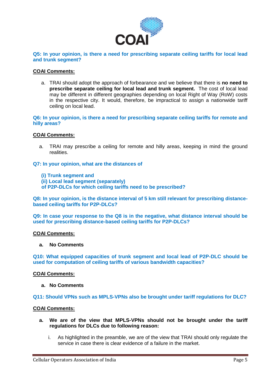

**Q5: In your opinion, is there a need for prescribing separate ceiling tariffs for local lead and trunk segment?** 

#### **COAI Comments:**

a. TRAI should adopt the approach of forbearance and we believe that there is **no need to prescribe separate ceiling for local lead and trunk segment.** The cost of local lead may be different in different geographies depending on local Right of Way (RoW) costs in the respective city. It would, therefore, be impractical to assign a nationwide tariff ceiling on local lead.

**Q6: In your opinion, is there a need for prescribing separate ceiling tariffs for remote and hilly areas?** 

#### **COAI Comments:**

a. TRAI may prescribe a ceiling for remote and hilly areas, keeping in mind the ground realities.

#### **Q7: In your opinion, what are the distances of**

- **(i) Trunk segment and**
- **(ii) Local lead segment (separately)**
- **of P2P-DLCs for which ceiling tariffs need to be prescribed?**

**Q8: In your opinion, is the distance interval of 5 km still relevant for prescribing distancebased ceiling tariffs for P2P-DLCs?** 

**Q9: In case your response to the Q8 is in the negative, what distance interval should be used for prescribing distance-based ceiling tariffs for P2P-DLCs?** 

#### **COAI Comments:**

#### **a. No Comments**

**Q10: What equipped capacities of trunk segment and local lead of P2P-DLC should be used for computation of ceiling tariffs of various bandwidth capacities?** 

#### **COAI Comments:**

**a. No Comments**

#### **Q11: Should VPNs such as MPLS-VPNs also be brought under tariff regulations for DLC?**

#### **COAI Comments:**

- **a. We are of the view that MPLS-VPNs should not be brought under the tariff regulations for DLCs due to following reason:**
	- i. As highlighted in the preamble, we are of the view that TRAI should only regulate the service in case there is clear evidence of a failure in the market.